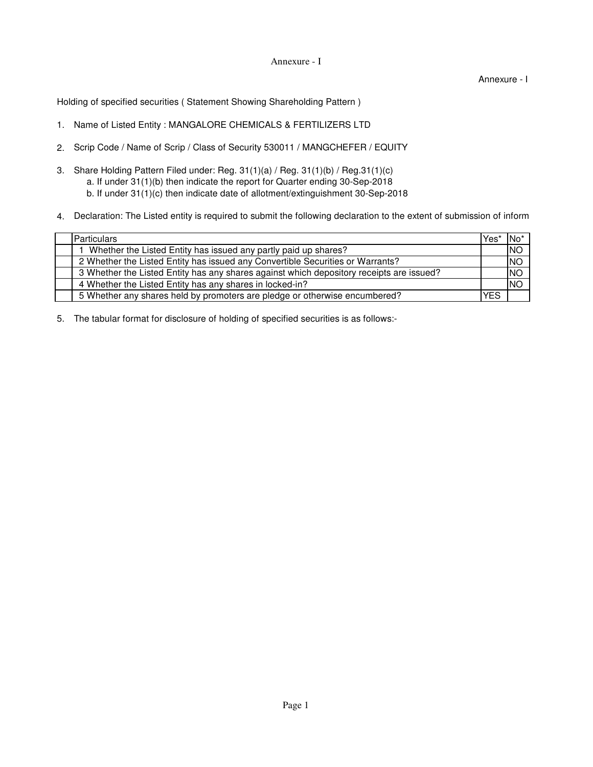## Annexure - I

Annexure - I

Holding of specified securities ( Statement Showing Shareholding Pattern )

- 1. Name of Listed Entity : MANGALORE CHEMICALS & FERTILIZERS LTD
- 2. Scrip Code / Name of Scrip / Class of Security 530011 / MANGCHEFER / EQUITY
- 3. Share Holding Pattern Filed under: Reg. 31(1)(a) / Reg. 31(1)(b) / Reg.31(1)(c) b. If under 31(1)(c) then indicate date of allotment/extinguishment 30-Sep-2018 a. If under 31(1)(b) then indicate the report for Quarter ending 30-Sep-2018
- 4. Declaration: The Listed entity is required to submit the following declaration to the extent of submission of inform

| <b>Particulars</b>                                                                       | Yes' | ∣No*      |
|------------------------------------------------------------------------------------------|------|-----------|
| Whether the Listed Entity has issued any partly paid up shares?                          |      | <b>NO</b> |
| 2 Whether the Listed Entity has issued any Convertible Securities or Warrants?           |      | <b>NO</b> |
| 3 Whether the Listed Entity has any shares against which depository receipts are issued? |      | <b>NO</b> |
| 4 Whether the Listed Entity has any shares in locked-in?                                 |      | <b>NO</b> |
| 5 Whether any shares held by promoters are pledge or otherwise encumbered?               | YES  |           |

5. The tabular format for disclosure of holding of specified securities is as follows:-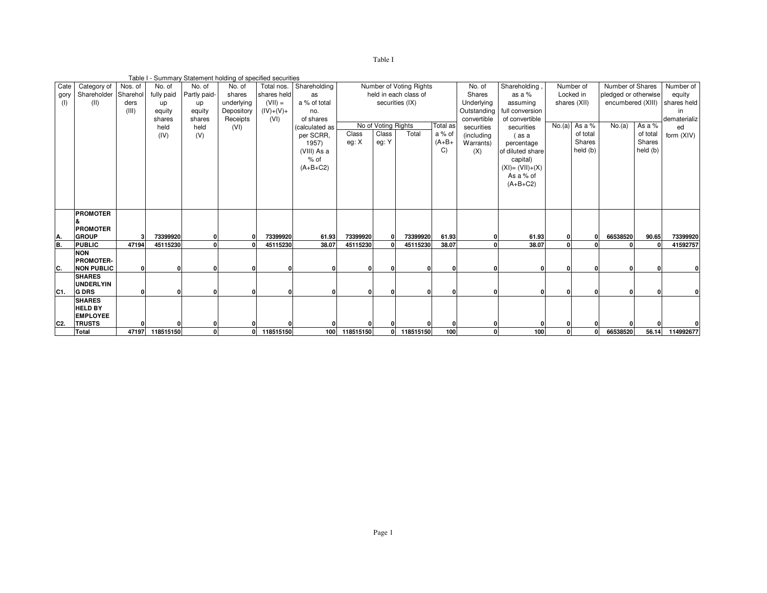| r<br>с |  |
|--------|--|
|        |  |

|               | Table I - Summary Statement holding of specified securities<br>Number of Shares<br>Number of Voting Rights<br>Number of |              |            |              |              |             |                |                                 |          |                       |         |             |                    |              |              |                      |          |              |
|---------------|-------------------------------------------------------------------------------------------------------------------------|--------------|------------|--------------|--------------|-------------|----------------|---------------------------------|----------|-----------------------|---------|-------------|--------------------|--------------|--------------|----------------------|----------|--------------|
| Cate          | Category of                                                                                                             | Nos. of      | No. of     | No. of       | No. of       | Total nos.  | Shareholding   |                                 |          |                       |         | No. of      | Shareholding       |              |              |                      |          | Number of    |
| gory          | Shareholder                                                                                                             | Sharehol     | fully paid | Partly paid- | shares       | shares held | as             |                                 |          | held in each class of |         | Shares      | as a $%$           | Locked in    |              | pledged or otherwise |          | equity       |
| (I)           | (II)                                                                                                                    | ders         | up         | up           | underlying   | $(VII) =$   | a % of total   |                                 |          | securities (IX)       |         | Underlying  | assuming           | shares (XII) |              | encumbered (XIII)    |          | shares held  |
|               |                                                                                                                         | (III)        | equity     | equity       | Depository   | $(IV)+(V)+$ | no.            |                                 |          |                       |         | Outstanding | full conversion    |              |              |                      |          | in.          |
|               |                                                                                                                         |              | shares     | shares       | Receipts     | (VI)        | of shares      |                                 |          |                       |         | convertible | of convertible     |              |              |                      |          | dematerializ |
|               |                                                                                                                         |              | held       | held         | (VI)         |             | (calculated as | No of Voting Rights<br>Total as |          |                       |         | securities  | securities         | No.(a)       | As a %       | No.(a)               | As a %   | ed           |
|               |                                                                                                                         |              | (IV)       | (V)          |              |             | per SCRR.      | Class                           | Class    | Total                 | a % of  | (including  | (as a              |              | of total     |                      | of total | form (XIV)   |
|               |                                                                                                                         |              |            |              |              |             | 1957)          | eg: X                           | eg: Y    |                       | $(A+B+$ | Warrants)   | percentage         |              | Shares       |                      | Shares   |              |
|               |                                                                                                                         |              |            |              |              |             | (VIII) As a    |                                 |          |                       | C)      | (X)         | of diluted share   |              | held (b)     |                      | held (b) |              |
|               |                                                                                                                         |              |            |              |              |             | $%$ of         |                                 |          |                       |         |             | capital)           |              |              |                      |          |              |
|               |                                                                                                                         |              |            |              |              |             | $(A+B+C2)$     |                                 |          |                       |         |             | $(XI) = (VII)+(X)$ |              |              |                      |          |              |
|               |                                                                                                                         |              |            |              |              |             |                |                                 |          |                       |         |             |                    |              |              |                      |          |              |
|               |                                                                                                                         |              |            |              |              |             |                |                                 |          |                       |         |             | As a % of          |              |              |                      |          |              |
|               |                                                                                                                         |              |            |              |              |             |                |                                 |          |                       |         |             | $(A+B+C2)$         |              |              |                      |          |              |
|               |                                                                                                                         |              |            |              |              |             |                |                                 |          |                       |         |             |                    |              |              |                      |          |              |
|               |                                                                                                                         |              |            |              |              |             |                |                                 |          |                       |         |             |                    |              |              |                      |          |              |
|               | <b>PROMOTER</b>                                                                                                         |              |            |              |              |             |                |                                 |          |                       |         |             |                    |              |              |                      |          |              |
|               |                                                                                                                         |              |            |              |              |             |                |                                 |          |                       |         |             |                    |              |              |                      |          |              |
|               | <b>PROMOTER</b>                                                                                                         |              |            |              |              |             |                |                                 |          |                       |         |             |                    |              |              |                      |          |              |
|               | <b>GROUP</b>                                                                                                            | 3            | 73399920   | O            | $\Omega$     | 73399920    | 61.93          | 73399920                        | $\Omega$ | 73399920              | 61.93   |             | 61.93              |              | $\mathbf{0}$ | 66538520             | 90.65    | 73399920     |
| $\frac{A}{B}$ | <b>PUBLIC</b>                                                                                                           | 47194        | 45115230   | $\Omega$     |              | 45115230    | 38.07          | 45115230                        |          | 45115230              | 38.07   |             | 38.07              |              |              |                      |          | 41592757     |
|               | <b>NON</b>                                                                                                              |              |            |              |              |             |                |                                 |          |                       |         |             |                    |              |              |                      |          |              |
|               | <b>PROMOTER-</b>                                                                                                        |              |            |              |              |             |                |                                 |          |                       |         |             |                    |              |              |                      |          |              |
| C.            | <b>NON PUBLIC</b>                                                                                                       | $\mathbf{0}$ |            |              |              |             |                | 0                               |          |                       |         |             |                    |              |              |                      |          |              |
|               | <b>SHARES</b>                                                                                                           |              |            |              |              |             |                |                                 |          |                       |         |             |                    |              |              |                      |          |              |
|               | <b>UNDERLYIN</b>                                                                                                        |              |            |              |              |             |                |                                 |          |                       |         |             |                    |              |              |                      |          |              |
| C1.           | <b>G DRS</b>                                                                                                            | 0            |            |              | n            |             |                | $\mathbf{0}$                    | $\Omega$ |                       |         |             |                    |              |              |                      |          |              |
|               | <b>SHARES</b>                                                                                                           |              |            |              |              |             |                |                                 |          |                       |         |             |                    |              |              |                      |          |              |
|               | <b>HELD BY</b>                                                                                                          |              |            |              |              |             |                |                                 |          |                       |         |             |                    |              |              |                      |          |              |
|               | <b>EMPLOYEE</b>                                                                                                         |              |            |              |              |             |                |                                 |          |                       |         |             |                    |              |              |                      |          |              |
| C2.           | <b>TRUSTS</b>                                                                                                           |              |            |              |              |             |                |                                 |          |                       |         |             |                    |              |              |                      |          |              |
|               | Total                                                                                                                   | 47197        | 118515150  | $\mathbf{0}$ | $\mathbf{0}$ | 118515150   | 100            | 118515150                       | οI       | 118515150             | 100     | $\Omega$    | 100                | n            | $\mathbf{0}$ | 66538520             | 56.14    | 114992677    |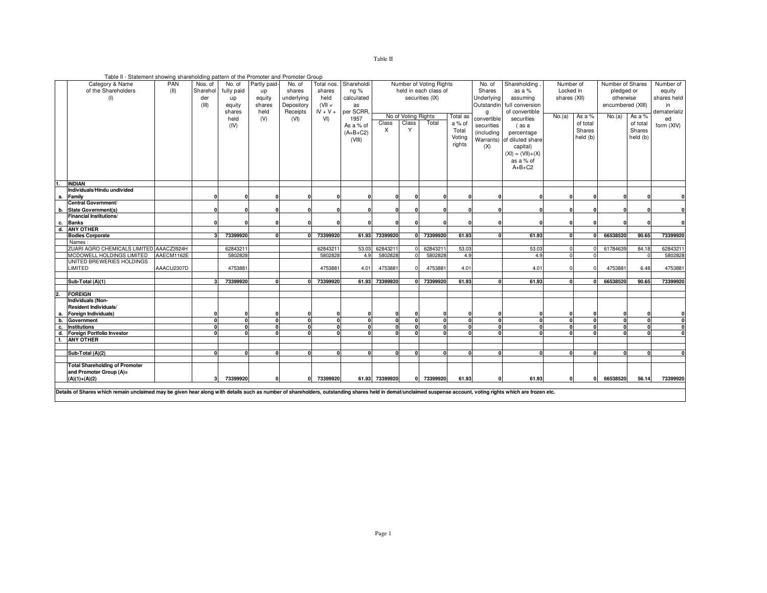Table II - Statement showing shareholding pattern of the Promoter and Promoter Group

|                | Category & Name                                                                                                                                                                                                | PAN        | Nos. of  | No. of                   | Partly paid- | No. of     | Total nos.     | Shareholdi |                     |                     | Number of Voting Rights |            | No. of      | Shareholding               | Number of | Number of Shares | Number of         |          |              |
|----------------|----------------------------------------------------------------------------------------------------------------------------------------------------------------------------------------------------------------|------------|----------|--------------------------|--------------|------------|----------------|------------|---------------------|---------------------|-------------------------|------------|-------------|----------------------------|-----------|------------------|-------------------|----------|--------------|
|                | of the Shareholders                                                                                                                                                                                            | (II)       | Sharehol | fully paid               | up           | shares     | shares         | ng %       |                     |                     | held in each class of   |            | Shares      | Locked in<br>as a %        |           |                  | pledged or        |          | equity       |
|                | (1)                                                                                                                                                                                                            |            | der      | up                       | equity       | underlying | held           | calculated |                     |                     | securities (IX)         |            | Underlying  | assuming<br>shares (XII)   |           |                  | otherwise         |          | shares held  |
|                |                                                                                                                                                                                                                |            | (III)    | equity                   | shares       | Depository | $(VII =$       | as         |                     |                     |                         |            | Outstandin  | full conversion            |           |                  | encumbered (XIII) |          | in           |
|                |                                                                                                                                                                                                                |            |          | shares                   | held         | Receipts   | $IV + V +$     | per SCRR,  |                     |                     |                         |            | q           | of convertible             |           |                  |                   |          | dematerializ |
|                |                                                                                                                                                                                                                |            |          | held                     | (V)          | (VI)       | V <sub>1</sub> | 1957       |                     | No of Voting Rights |                         | Total as   | convertible | securities                 | No.(a)    | As a %           | No.(a)            | As a %   | ed           |
|                |                                                                                                                                                                                                                |            |          | (IV)                     |              |            |                | As a % of  | Class               | Class               | Total                   | a % of     | securities  | (as a                      |           | of total         |                   | of total | form (XIV)   |
|                |                                                                                                                                                                                                                |            |          |                          |              |            |                | $(A+B+C2)$ | X                   | Y                   |                         | Total      | (including  | percentage                 |           | Shares           |                   | Shares   |              |
|                |                                                                                                                                                                                                                |            |          |                          |              |            |                | (VIII)     |                     |                     |                         | Voting     |             | Warrants) of diluted share |           | held (b)         |                   | held (b) |              |
|                |                                                                                                                                                                                                                |            |          |                          |              |            |                |            |                     |                     |                         | rights     | (X)         | capital)                   |           |                  |                   |          |              |
|                |                                                                                                                                                                                                                |            |          |                          |              |            |                |            |                     |                     |                         |            |             | $(XI) = (VII)+(X)$         |           |                  |                   |          |              |
|                |                                                                                                                                                                                                                |            |          |                          |              |            |                |            |                     |                     |                         |            |             | as a % of                  |           |                  |                   |          |              |
|                |                                                                                                                                                                                                                |            |          |                          |              |            |                |            |                     |                     |                         |            |             | $A+B+C2$                   |           |                  |                   |          |              |
|                |                                                                                                                                                                                                                |            |          |                          |              |            |                |            |                     |                     |                         |            |             |                            |           |                  |                   |          |              |
|                |                                                                                                                                                                                                                |            |          |                          |              |            |                |            |                     |                     |                         |            |             |                            |           |                  |                   |          |              |
|                | <b>INDIAN</b><br>Individuals/Hindu undivided                                                                                                                                                                   |            |          |                          |              |            |                |            |                     |                     |                         |            |             |                            |           |                  |                   |          |              |
| а.             | Family                                                                                                                                                                                                         |            |          | $\mathbf{0}$             |              |            |                |            |                     |                     | n                       |            |             |                            | 0         |                  |                   |          |              |
|                | <b>Central Government/</b>                                                                                                                                                                                     |            |          |                          |              |            |                |            |                     |                     |                         |            |             |                            |           |                  |                   |          |              |
| b.             | <b>State Government(s)</b>                                                                                                                                                                                     |            |          | $\Omega$                 |              |            |                |            |                     |                     |                         |            |             |                            | 0         |                  |                   |          |              |
|                | <b>Financial Institutions/</b>                                                                                                                                                                                 |            |          |                          |              |            |                |            |                     |                     |                         |            |             |                            |           |                  |                   |          |              |
| с.             | <b>Banks</b>                                                                                                                                                                                                   |            |          | $\Omega$                 |              |            |                |            |                     |                     |                         |            |             |                            |           |                  |                   |          |              |
| $\overline{d}$ | <b>ANY OTHER</b>                                                                                                                                                                                               |            |          |                          |              |            |                |            |                     |                     |                         |            |             |                            |           |                  |                   |          |              |
|                | <b>Bodies Corporate</b>                                                                                                                                                                                        |            |          | 73399920                 |              |            | 73399920       | 61.93      | 73399920            |                     | 73399920                | 61.93      |             | 61.93                      |           |                  | 66538520          | 90.65    | 73399920     |
|                | Names                                                                                                                                                                                                          |            |          |                          |              |            |                |            |                     |                     |                         |            |             |                            |           |                  |                   |          |              |
|                | ZUARI AGRO CHEMICALS LIMITED AAACZ3924H                                                                                                                                                                        |            |          | 62843211                 |              |            | 62843211       | 53.03      | 6284321             |                     | 6284321                 | 53.03      |             | 53.03                      |           |                  | 61784639          | 84.18    | 6284321      |
|                | MCDOWELL HOLDINGS LIMITED<br>UNITED BREWERIES HOLDINGS                                                                                                                                                         | AAECM1162E |          | 5802828                  |              |            | 5802828        | 4.9        | 5802828             |                     | 5802828                 | 4.9        |             | 4.9                        |           |                  |                   |          | 5802828      |
|                | <b>IMITED</b>                                                                                                                                                                                                  | AAACU2307D |          | 4753881                  |              |            | 4753881        | 4.01       | 4753881             |                     | 4753881                 | 4.01       |             | 4.01                       |           |                  | 4753881           | 6.48     | 475388       |
|                |                                                                                                                                                                                                                |            |          |                          |              |            |                |            |                     |                     |                         |            |             |                            |           |                  |                   |          |              |
|                | Sub-Total (A)(1)                                                                                                                                                                                               |            |          | 73399920                 |              |            | 73399920       | 61.93      | 73399920            |                     | 73399920                | 61.93      |             | 61.93                      |           |                  | 66538520          | 90.65    | 73399920     |
|                |                                                                                                                                                                                                                |            |          |                          |              |            |                |            |                     |                     |                         |            |             |                            |           |                  |                   |          |              |
| 2.             | <b>FOREIGN</b>                                                                                                                                                                                                 |            |          |                          |              |            |                |            |                     |                     |                         |            |             |                            |           |                  |                   |          |              |
|                | Individuals (Non-                                                                                                                                                                                              |            |          |                          |              |            |                |            |                     |                     |                         |            |             |                            |           |                  |                   |          |              |
|                | <b>Resident Individuals/</b>                                                                                                                                                                                   |            |          |                          |              |            |                |            |                     |                     |                         |            |             |                            |           |                  |                   |          |              |
| а.             | Foreign Individuals)                                                                                                                                                                                           |            |          | $\mathbf 0$              |              |            |                |            | O                   |                     |                         |            |             |                            |           |                  |                   |          |              |
| b.             | Government                                                                                                                                                                                                     |            |          | ō                        | $\Omega$     |            |                | $\Omega$   | $\overline{0}$<br>n |                     | $\Omega$                | $\Omega$   |             |                            | $\Omega$  |                  |                   |          | $\Omega$     |
| c.             | <b>Institutions</b>                                                                                                                                                                                            |            |          | $\mathbf{0}$<br>$\Omega$ |              |            |                |            | n                   |                     |                         |            |             |                            |           |                  |                   |          | 0            |
| d.<br>f.       | <b>Foreign Portfolio Investor</b><br><b>ANY OTHER</b>                                                                                                                                                          |            |          |                          |              |            |                |            |                     |                     |                         |            |             |                            |           |                  |                   |          |              |
|                |                                                                                                                                                                                                                |            |          |                          |              |            |                |            |                     |                     |                         |            |             |                            |           |                  |                   |          |              |
|                | Sub-Total (A)(2)                                                                                                                                                                                               |            |          | $\Omega$                 | $\sqrt{2}$   | n          | n              | $\Omega$   | O                   |                     | $\sqrt{2}$              | $\sqrt{2}$ |             |                            | $\Omega$  |                  |                   |          |              |
|                |                                                                                                                                                                                                                |            |          |                          |              |            |                |            |                     |                     |                         |            |             |                            |           |                  |                   |          |              |
|                | <b>Total Shareholding of Promoter</b>                                                                                                                                                                          |            |          |                          |              |            |                |            |                     |                     |                         |            |             |                            |           |                  |                   |          |              |
|                | and Promoter Group (A)=                                                                                                                                                                                        |            |          |                          |              |            |                |            |                     |                     |                         |            |             |                            |           |                  |                   |          |              |
|                | $(A)(1)+(A)(2)$                                                                                                                                                                                                |            |          | 73399920                 |              |            | 73399920       |            | 61.93 73399920      |                     | 73399920                | 61.93      |             | 61.93                      | 0         |                  | 66538520          | 56.14    | 73399920     |
|                |                                                                                                                                                                                                                |            |          |                          |              |            |                |            |                     |                     |                         |            |             |                            |           |                  |                   |          |              |
|                | Details of Shares which remain unclaimed may be given hear along with details such as number of shareholders, outstanding shares held in demat/unclaimed suspense account, voting rights which are frozen etc. |            |          |                          |              |            |                |            |                     |                     |                         |            |             |                            |           |                  |                   |          |              |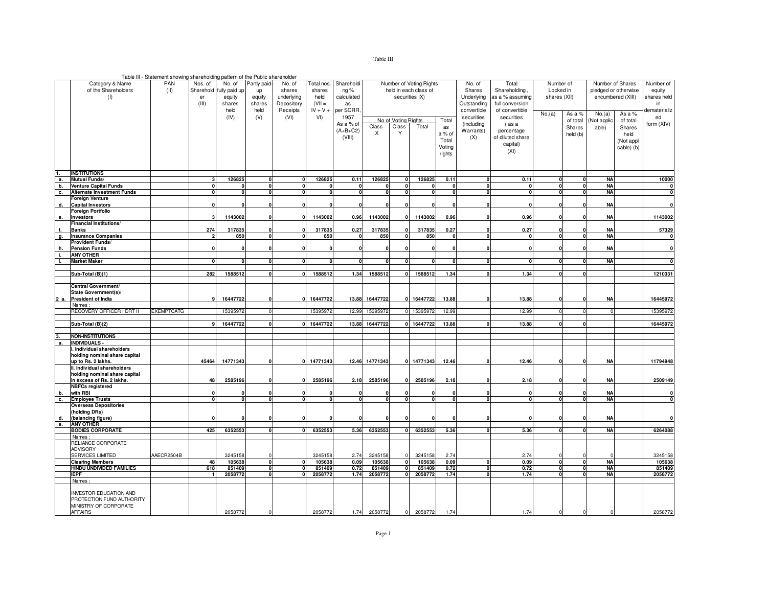Table III - Statement showing shareholding pattern of the Public shareholder

|          | Category & Name<br>of the Shareholders<br>(1)                                             | PAN<br>(II)       | Nos. of<br>Sharehold<br>er<br>(III) | No. of<br>iully paid up<br>equity<br>shares<br>held | Partly paid<br>up<br>equity<br>shares<br>held | No. of<br>shares<br>underlying<br>Depository<br>Receipts | Total nos<br>shares<br>held<br>$(VII =$<br>$IV + V +$ | Shareholdi<br>ng%<br>calculated<br>as<br>per SCRR. |                   |                                   | Number of Voting Rights<br>held in each class of<br>securities IX) |                                                    | No. of<br>Shares<br>Underlying<br>Outstanding<br>convertible | Total<br>Shareholding,<br>as a % assuming<br>full conversion<br>of convertible |                         | Number of<br>Locked in<br>shares (XII)<br>No.(a)<br>As a % |                               | Number of Shares<br>pledged or otherwise<br>encumbered (XIII)<br>As a % | Number of<br>equity<br>shares held<br>in<br>dematerializ |
|----------|-------------------------------------------------------------------------------------------|-------------------|-------------------------------------|-----------------------------------------------------|-----------------------------------------------|----------------------------------------------------------|-------------------------------------------------------|----------------------------------------------------|-------------------|-----------------------------------|--------------------------------------------------------------------|----------------------------------------------------|--------------------------------------------------------------|--------------------------------------------------------------------------------|-------------------------|------------------------------------------------------------|-------------------------------|-------------------------------------------------------------------------|----------------------------------------------------------|
|          |                                                                                           |                   |                                     | (IV)                                                | (V)                                           | (VI)                                                     | VI)                                                   | 1957<br>As a % of<br>$(A+B+C2)$<br>(VIII)          | Class<br>X        | No of Voting Rights<br>Class<br>Y | Total                                                              | Total<br>as<br>a % of<br>Total<br>Voting<br>rights | securities<br>(including<br>Warrants)<br>(X)                 | securities<br>(as a<br>percentage<br>of diluted share<br>capital)<br>(XI)      |                         | of total<br>Shares<br>held (b)                             | No.(a)<br>Not applic<br>able) | of total<br>Shares<br>held<br>(Not appli<br>cable) (b)                  | ed<br>form (XIV)                                         |
|          | <b>INSTITUTIONS</b>                                                                       |                   |                                     |                                                     |                                               |                                                          |                                                       |                                                    |                   |                                   |                                                                    |                                                    |                                                              |                                                                                |                         |                                                            |                               |                                                                         |                                                          |
| а.       | Mutual Funds/                                                                             |                   | 3                                   | 126825                                              | $\mathbf{0}$                                  | $\mathbf{0}$                                             | 126825                                                | 0.11                                               | 126825            | $\mathbf{0}$                      | 126825                                                             | 0.11                                               | $\mathbf{0}$                                                 | 0.11                                                                           | $\bf{0}$                | n                                                          | <b>NA</b>                     |                                                                         | 10000                                                    |
| b.       | <b>Venture Capital Funds</b>                                                              |                   | $\mathbf{0}$<br>$\Omega$            | $\Omega$<br>$\Omega$                                | $\mathbf{0}$<br>$\mathbf{0}$                  | $\mathbf{0}$<br>$\mathbf{0}$                             | $\mathbf 0$<br>$\Omega$                               | $\mathbf{0}$<br>$\mathbf{0}$                       | 0<br>$\mathbf{0}$ | $\Omega$<br>n                     | $\Omega$<br>$\mathbf{0}$                                           | $\mathbf{0}$<br>$\mathbf{0}$                       | $\Omega$<br>n                                                | $\mathbf 0$<br>$\Omega$                                                        | 0<br>$\Omega$           | 0<br>$\bf{0}$                                              | <b>NA</b><br><b>NA</b>        |                                                                         | $\mathbf 0$                                              |
| c.       | <b>Alternate Investment Funds</b><br><b>Foreign Venture</b>                               |                   |                                     |                                                     |                                               |                                                          |                                                       |                                                    |                   |                                   |                                                                    |                                                    |                                                              |                                                                                |                         |                                                            |                               |                                                                         | $\mathbf 0$                                              |
| d.       | <b>Capital Investors</b>                                                                  |                   | n                                   | C                                                   | $\Omega$                                      | $\Omega$                                                 |                                                       |                                                    | $\mathbf{0}$      |                                   | n                                                                  | $\Omega$                                           |                                                              |                                                                                |                         |                                                            | <b>NA</b>                     |                                                                         | $\Omega$                                                 |
|          | <b>Foreign Portfolio</b>                                                                  |                   |                                     |                                                     |                                               |                                                          |                                                       |                                                    |                   |                                   |                                                                    |                                                    |                                                              |                                                                                |                         |                                                            |                               |                                                                         |                                                          |
| e.       | <b>Investors</b>                                                                          |                   | з                                   | 1143002                                             | $\Omega$                                      | $\mathbf{0}$                                             | 1143002                                               | 0.96                                               | 1143002           |                                   | 1143002                                                            | 0.96                                               |                                                              | 0.96                                                                           |                         |                                                            | <b>NA</b>                     |                                                                         | 1143002                                                  |
|          | <b>Financial Institutions/</b><br><b>Banks</b>                                            |                   | 274                                 | 317835                                              |                                               | 0                                                        | 317835                                                | 0.27                                               | 317835            |                                   | 317835                                                             | 0.27                                               | C                                                            | 0.27                                                                           |                         |                                                            | <b>NA</b>                     |                                                                         | 57329                                                    |
| g.       | <b>Insurance Companies</b>                                                                |                   | $\mathbf{c}$                        | 850                                                 | $\overline{0}$                                | $\overline{0}$                                           | 850                                                   |                                                    | 850               | $\Omega$                          | 850                                                                | ō                                                  | $\Omega$                                                     | $\Omega$                                                                       | $\Omega$                | $\Omega$                                                   | <b>NA</b>                     |                                                                         |                                                          |
|          | Provident Funds/                                                                          |                   |                                     |                                                     |                                               |                                                          |                                                       |                                                    |                   |                                   |                                                                    |                                                    |                                                              |                                                                                |                         |                                                            |                               |                                                                         |                                                          |
|          | <b>Pension Funds</b>                                                                      |                   | $\Omega$                            | $\mathbf{0}$                                        | $\Omega$                                      | $\mathbf{0}$                                             |                                                       |                                                    | $\mathbf{0}$      |                                   | $\Omega$                                                           | $\Omega$                                           | C                                                            |                                                                                |                         |                                                            | <b>NA</b>                     |                                                                         | $\Omega$                                                 |
| j.       | <b>ANY OTHER</b>                                                                          |                   |                                     |                                                     |                                               |                                                          |                                                       |                                                    |                   |                                   |                                                                    |                                                    |                                                              |                                                                                |                         |                                                            |                               |                                                                         |                                                          |
| i.       | <b>Market Maker</b>                                                                       |                   | $\mathbf{0}$                        | $\mathbf{0}$                                        | $\mathbf{0}$                                  | $\mathbf{0}$                                             | $\Omega$                                              | 0                                                  | $\mathbf{0}$      |                                   | O                                                                  | $\mathbf{0}$                                       | $\mathbf{0}$                                                 | $\Omega$                                                                       |                         | $\Omega$                                                   | <b>NA</b>                     |                                                                         |                                                          |
|          |                                                                                           |                   | 282                                 | 1588512                                             | $\Omega$                                      | $\mathbf{0}$                                             |                                                       | 1.34                                               | 1588512           |                                   | 1588512                                                            |                                                    | n                                                            | 1.34                                                                           |                         | n                                                          |                               |                                                                         | 1210331                                                  |
|          | Sub-Total (B)(1)                                                                          |                   |                                     |                                                     |                                               |                                                          | 1588512                                               |                                                    |                   |                                   |                                                                    | 1.34                                               |                                                              |                                                                                |                         |                                                            |                               |                                                                         |                                                          |
|          | Central Government/<br>State Government(s)/<br>2 a. President of India                    |                   | -9                                  | 16447722                                            |                                               | $\Omega$                                                 | 16447722                                              | 13.88                                              | 16447722          |                                   | 16447722                                                           | 13.88                                              |                                                              | 13.88                                                                          |                         |                                                            | <b>NA</b>                     |                                                                         | 16445972                                                 |
|          | Names:                                                                                    |                   |                                     |                                                     |                                               |                                                          |                                                       |                                                    |                   |                                   |                                                                    |                                                    |                                                              |                                                                                |                         |                                                            |                               |                                                                         |                                                          |
|          | RECOVERY OFFICER I DRT II                                                                 | <b>EXEMPTCATG</b> |                                     | 15395972                                            |                                               |                                                          | 15395972                                              | 12.99                                              | 15395972          |                                   | 15395972                                                           | 12.99                                              |                                                              | 12.99                                                                          |                         |                                                            | $\mathbf 0$                   |                                                                         | 15395972                                                 |
|          |                                                                                           |                   |                                     |                                                     |                                               |                                                          |                                                       |                                                    |                   |                                   |                                                                    |                                                    |                                                              |                                                                                |                         |                                                            |                               |                                                                         |                                                          |
|          | Sub-Total (B)(2)                                                                          |                   |                                     | 16447722                                            | $\Omega$                                      |                                                          | 0 16447722                                            | 13.88                                              | 16447722          |                                   | 16447722                                                           | 13.88                                              | n                                                            | 13.88                                                                          |                         |                                                            |                               |                                                                         | 16445972                                                 |
| 3.       | <b>NON-INSTITUTIONS</b>                                                                   |                   |                                     |                                                     |                                               |                                                          |                                                       |                                                    |                   |                                   |                                                                    |                                                    |                                                              |                                                                                |                         |                                                            |                               |                                                                         |                                                          |
| а.       | <b>INDIVIDUALS -</b>                                                                      |                   |                                     |                                                     |                                               |                                                          |                                                       |                                                    |                   |                                   |                                                                    |                                                    |                                                              |                                                                                |                         |                                                            |                               |                                                                         |                                                          |
|          | I. Individual shareholders<br>holding nominal share capital<br>up to Rs. 2 lakhs.         |                   | 45464                               | 14771343                                            | $\Omega$                                      | $\mathbf{0}$                                             | 14771343                                              | 12.46                                              | 14771343          |                                   | 14771343                                                           | 12.46                                              | $\Omega$                                                     | 12.46                                                                          |                         | n                                                          | <b>NA</b>                     |                                                                         | 11794948                                                 |
|          | II. Individual shareholders<br>holding nominal share capital<br>in excess of Rs. 2 lakhs. |                   | 48                                  | 2585196                                             | $\Omega$                                      | $\mathbf{0}$                                             | 2585196                                               | 2.18                                               | 2585196           |                                   | 2585196                                                            | 2.18                                               |                                                              | 2.18                                                                           |                         |                                                            | <b>NA</b>                     |                                                                         | 2509149                                                  |
|          | <b>NBFCs registered</b><br>with RBI                                                       |                   | $\mathbf 0$                         | $\mathsf{r}$                                        | $\Omega$                                      | $\Omega$                                                 |                                                       |                                                    | $\mathbf{0}$      |                                   | n                                                                  | $\Omega$                                           |                                                              | $\Omega$                                                                       |                         |                                                            | <b>NA</b>                     |                                                                         |                                                          |
| b.<br>с. | <b>Employee Trusts</b>                                                                    |                   | $\mathbf{0}$                        | $\mathbf{0}$                                        | $\mathbf{0}$                                  | $\Omega$                                                 | $\Omega$                                              | $\Omega$                                           | $\mathbf{0}$      | $\Omega$                          | $\mathbf{0}$                                                       | o                                                  | $\Omega$                                                     | $\Omega$                                                                       | $\Omega$                | $\Omega$                                                   | <b>NA</b>                     |                                                                         | $\mathbf 0$<br>$\mathbf 0$                               |
|          | <b>Overseas Depositories</b>                                                              |                   |                                     |                                                     |                                               |                                                          |                                                       |                                                    |                   |                                   |                                                                    |                                                    |                                                              |                                                                                |                         |                                                            |                               |                                                                         |                                                          |
|          | (holding DRs)                                                                             |                   |                                     |                                                     |                                               |                                                          |                                                       |                                                    |                   |                                   |                                                                    |                                                    |                                                              |                                                                                |                         |                                                            |                               |                                                                         |                                                          |
| d.       | (balancing figure)                                                                        |                   | O                                   |                                                     |                                               |                                                          |                                                       |                                                    |                   |                                   |                                                                    | $\Omega$                                           | C                                                            |                                                                                |                         |                                                            | <b>NA</b>                     |                                                                         | $\Omega$                                                 |
| e.       | <b>ANY OTHER</b>                                                                          |                   |                                     |                                                     |                                               |                                                          |                                                       |                                                    |                   |                                   |                                                                    |                                                    | $\overline{0}$                                               |                                                                                |                         |                                                            |                               |                                                                         |                                                          |
|          | <b>BODIES CORPORATE</b><br>Names:                                                         |                   | 425                                 | 6352553                                             | $\overline{0}$                                | $\overline{\phantom{a}}$                                 | 6352553                                               | 5.36                                               | 6352553           | $\mathbf{0}$                      | 6352553                                                            | 5.36                                               |                                                              | 5.36                                                                           | $\overline{\mathbf{0}}$ | $\Omega$                                                   | <b>NA</b>                     |                                                                         | 6264088                                                  |
|          | RELIANCE CORPORATE                                                                        |                   |                                     |                                                     |                                               |                                                          |                                                       |                                                    |                   |                                   |                                                                    |                                                    |                                                              |                                                                                |                         |                                                            |                               |                                                                         |                                                          |
|          | <b>ADVISORY</b>                                                                           |                   |                                     |                                                     |                                               |                                                          |                                                       |                                                    |                   |                                   |                                                                    |                                                    |                                                              |                                                                                |                         |                                                            |                               |                                                                         |                                                          |
|          | SERVICES LIMITED                                                                          | AAECR2504B        | 48                                  | 3245158<br>105638                                   | $\mathbf{0}$                                  |                                                          | 3245158<br>105638                                     | 2.74<br>0.09                                       | 3245158<br>105638 | $\mathbf 0$                       | 3245158<br>105638                                                  | 2.74<br>0.09                                       | $\Omega$                                                     | 2.74<br>0.09                                                                   | 0                       | $\mathbf{0}$                                               | <b>NA</b>                     |                                                                         | 3245158<br>105638                                        |
|          | <b>Clearing Members</b><br><b>HINDU UNDIVIDED FAMILIES</b>                                |                   | 618                                 | 851409                                              | $\mathbf{0}$                                  | $\mathbf{0}$<br>$\mathbf{0}$                             | 851409                                                | 0.72                                               | 851409            | 0                                 | 851409                                                             | 0.72                                               | $\mathbf{0}$                                                 | 0.72                                                                           | $\mathbf{0}$            | $\Omega$                                                   | <b>NA</b>                     |                                                                         | 851409                                                   |
|          | <b>IEPF</b>                                                                               |                   |                                     | 2058772                                             | $\overline{0}$                                | $\mathbf{0}$                                             | 2058772                                               | 1.74                                               | 2058772           | $\Omega$                          | 2058772                                                            | 1.74                                               | $\Omega$                                                     | 1.74                                                                           | $\Omega$                | $\bf{0}$                                                   | <b>NA</b>                     |                                                                         | 2058772                                                  |
|          | Names:                                                                                    |                   |                                     |                                                     |                                               |                                                          |                                                       |                                                    |                   |                                   |                                                                    |                                                    |                                                              |                                                                                |                         |                                                            |                               |                                                                         |                                                          |
|          | <b>INVESTOR EDUCATION AND</b><br>PROTECTION FUND AUTHORITY<br>MINISTRY OF CORPORATE       |                   |                                     |                                                     |                                               |                                                          |                                                       |                                                    |                   |                                   |                                                                    |                                                    |                                                              |                                                                                |                         |                                                            |                               |                                                                         |                                                          |
|          | <b>AFFAIRS</b>                                                                            |                   |                                     | 2058772                                             |                                               |                                                          | 2058772                                               | 1.74                                               | 2058772           |                                   | 2058772                                                            | 1.74                                               |                                                              | 1.74                                                                           |                         |                                                            | $\mathbf 0$                   |                                                                         | 2058772                                                  |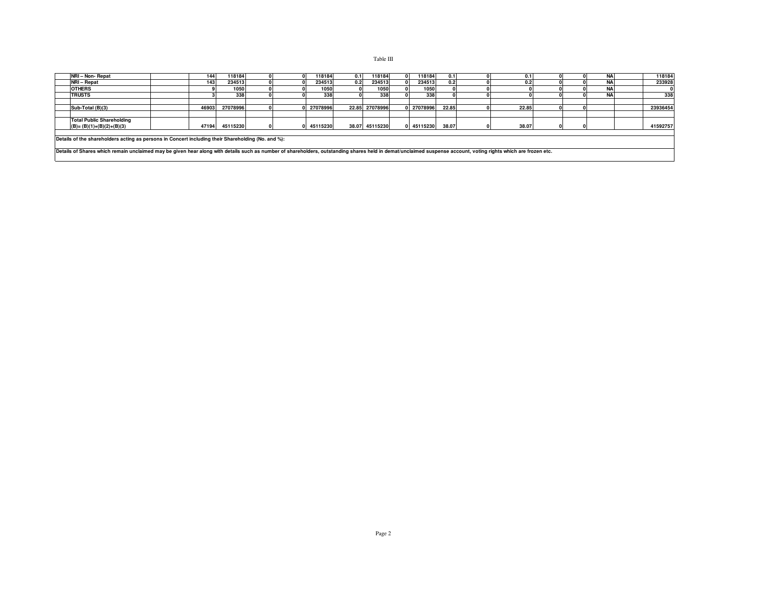| NRI - Non- Repat                                                                                                                                                                                               |  | 144   | 118184         |  |  | 118184     | 0.11 | 118184         |  | 118184     | 0.11  |  |       |  | N/ | 118184   |
|----------------------------------------------------------------------------------------------------------------------------------------------------------------------------------------------------------------|--|-------|----------------|--|--|------------|------|----------------|--|------------|-------|--|-------|--|----|----------|
| NRI - Repat                                                                                                                                                                                                    |  | 143   | 234513         |  |  | 234513     | 0.21 | 234513         |  | 234513     | 0.2   |  | 0.2   |  | N/ | 233928   |
| <b>OTHERS</b>                                                                                                                                                                                                  |  |       | 1050           |  |  | 1050       |      | 1050           |  | 1050       |       |  |       |  | N  |          |
| <b>TRUSTS</b>                                                                                                                                                                                                  |  |       | 338            |  |  | 338        |      | 338            |  | 338        |       |  |       |  | NA | 338      |
|                                                                                                                                                                                                                |  |       |                |  |  |            |      |                |  |            |       |  |       |  |    |          |
| Sub-Total (B)(3)                                                                                                                                                                                               |  | 46903 | 27078996       |  |  | 27078996   |      | 22.85 27078996 |  | 0 27078996 | 22.85 |  | 22.85 |  |    | 23936454 |
|                                                                                                                                                                                                                |  |       |                |  |  |            |      |                |  |            |       |  |       |  |    |          |
| <b>Total Public Shareholding</b><br>$(B)=(B)(1)+(B)(2)+(B)(3)$                                                                                                                                                 |  |       | 47194 45115230 |  |  | 0 45115230 |      | 38.07 45115230 |  | 0 45115230 | 38.07 |  | 38.07 |  |    | 41592757 |
| Details of the shareholders acting as persons in Concert including their Shareholding (No. and %):                                                                                                             |  |       |                |  |  |            |      |                |  |            |       |  |       |  |    |          |
| Details of Shares which remain unclaimed may be given hear along with details such as number of shareholders, outstanding shares held in demat/unclaimed suspense account, voting rights which are frozen etc. |  |       |                |  |  |            |      |                |  |            |       |  |       |  |    |          |